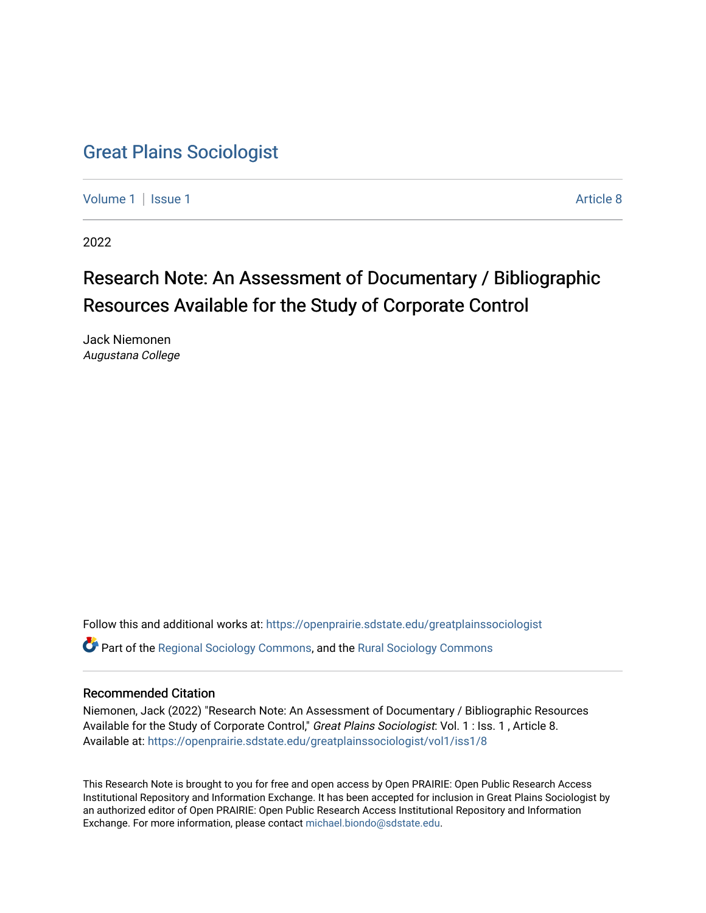## [Great Plains Sociologist](https://openprairie.sdstate.edu/greatplainssociologist)

[Volume 1](https://openprairie.sdstate.edu/greatplainssociologist/vol1) | [Issue 1](https://openprairie.sdstate.edu/greatplainssociologist/vol1/iss1) Article 8

2022

# Research Note: An Assessment of Documentary / Bibliographic Resources Available for the Study of Corporate Control

Jack Niemonen Augustana College

Follow this and additional works at: [https://openprairie.sdstate.edu/greatplainssociologist](https://openprairie.sdstate.edu/greatplainssociologist?utm_source=openprairie.sdstate.edu%2Fgreatplainssociologist%2Fvol1%2Fiss1%2F8&utm_medium=PDF&utm_campaign=PDFCoverPages)  Part of the [Regional Sociology Commons](http://network.bepress.com/hgg/discipline/427?utm_source=openprairie.sdstate.edu%2Fgreatplainssociologist%2Fvol1%2Fiss1%2F8&utm_medium=PDF&utm_campaign=PDFCoverPages), and the [Rural Sociology Commons](http://network.bepress.com/hgg/discipline/428?utm_source=openprairie.sdstate.edu%2Fgreatplainssociologist%2Fvol1%2Fiss1%2F8&utm_medium=PDF&utm_campaign=PDFCoverPages) 

### Recommended Citation

Niemonen, Jack (2022) "Research Note: An Assessment of Documentary / Bibliographic Resources Available for the Study of Corporate Control," Great Plains Sociologist: Vol. 1 : Iss. 1, Article 8. Available at: [https://openprairie.sdstate.edu/greatplainssociologist/vol1/iss1/8](https://openprairie.sdstate.edu/greatplainssociologist/vol1/iss1/8?utm_source=openprairie.sdstate.edu%2Fgreatplainssociologist%2Fvol1%2Fiss1%2F8&utm_medium=PDF&utm_campaign=PDFCoverPages) 

This Research Note is brought to you for free and open access by Open PRAIRIE: Open Public Research Access Institutional Repository and Information Exchange. It has been accepted for inclusion in Great Plains Sociologist by an authorized editor of Open PRAIRIE: Open Public Research Access Institutional Repository and Information Exchange. For more information, please contact [michael.biondo@sdstate.edu.](mailto:michael.biondo@sdstate.edu)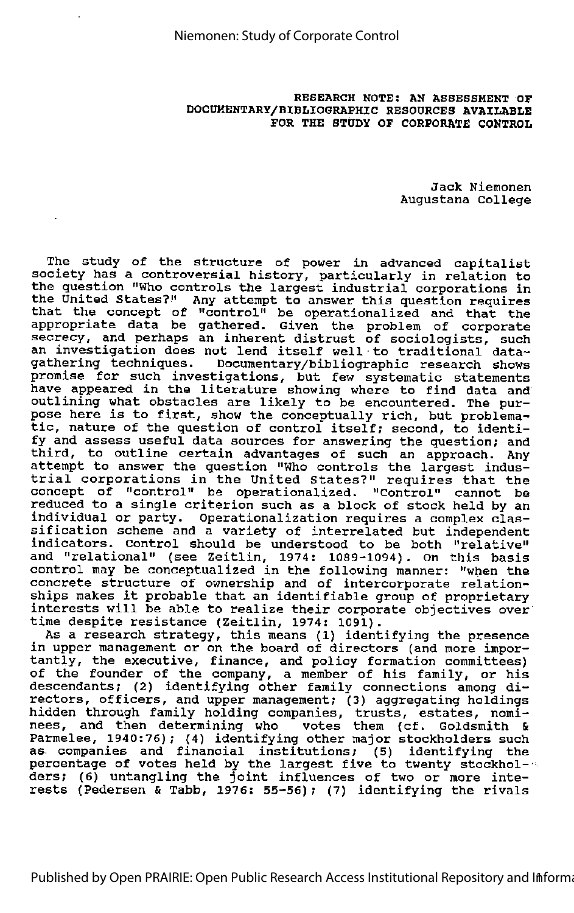RESEARCH NOTE: AN ASSESSMENT OF DOCUMENTARY/BIBLIOGRAPHIC RESOURCES AVAILABLE FOR THE STUDY OF CORPORATE CONTROL

> Jack Nlemonen Augustana College

The study of the structure of power in advanced capitalist society has a controversial history, particularly in relation to the question "Who controls the largest industrial corporations in the United States?" Any attempt to answer this question requires that the concept of "control" be operationalized and that the appropriate data be gathered. Given the problem of corporate secrecy, and perhaps an inherent distrust of sociologists, such an investigation does not lend itself well to traditional datagathering techniques. Documentary/bibliographic research shows promise for such investigations, but few systematic statements have appeared in the literature showing where to find data and outlining what obstacles are likely to be encountered. The pur pose here is to first, show the conceptually rich, but problema tic, nature of the question of control itself; second, to identi fy and assess useful data sources for answering the question; and third, to outline certain advantages of such an approach. Any attempt to answer the question "Who controls the largest indus trial corporations in the United States?" requires that the concept of "control" be operationalized. "Control" cannot be reduced to a single criterion such as a block of stock held by an individual or party. Operationalization requires a complex clas sification scheme and a variety of interrelated but independent indicators. Control should be understood to be both "relative" and "relational" (see Zeitlin, 1974: 1089-1094). On this basis control may be conceptualized in the following manner: "when the concrete structure of ownership and of intercorporate relation ships makes it probable that an identifiable group of proprietary interests will be able to realize their corporate objectives over time despite resistance (Zeitlin, 1974: 1091).

As a research strategy, this means (1) identifying the presence in upper management or on the board of directors (and more impor-In the main genero of on the bourd of directors (and more importantly, the executive, finance, and policy formation committees) of the founder of the company, <sup>a</sup> member of his family, or his descendants; (2) identifying other family connections among di rectors, officers, and upper management; (3) aggregating holdings hidden through family holding companies, trusts, estates, nomi nees, and then determining who votes them (cf. Goldsmith & Parmelee, 1940:76); (4) identifying other major stockholders such as companies and financial institutions; (5) identifying the percentage of votes held by the largest five to twenty stockhol- ders; (6) untangling the joint influences of two or more inte rests (Pedersen & Tabb, 1976: 55-56); (7) identifying the rivals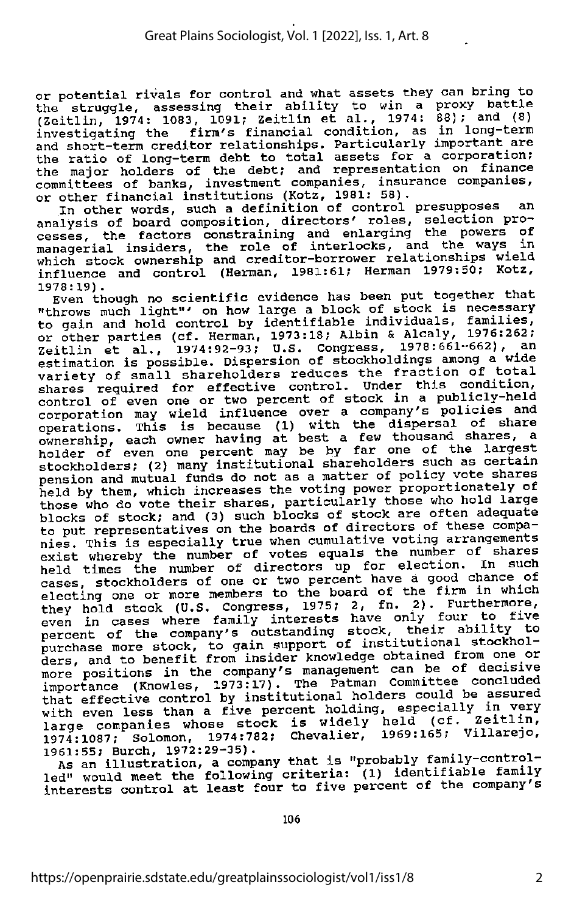or potential rivals for control and what assets they can bring to the struggle, assessing their ability to win a proxy battle (Zeitlin, 1974: 1083, 1091; Zeitlin et al., 1974: 88); and (8) investigating the firm's financial condition, as in long—term and short-term creditor relationships. Particularly important are the ratio of long-term debt to total assets for a corporation; the major holders of the debt; and representation on finance committees of banks, investment companies, insurance companies,<br>or other financial institutions (Kotz, 1981: 58).

In other words, such a definition of control presupposes an analysis of board composition, directors' roles, selection processes, the factors constraining and enlarging the powers of managerial insiders, the role of interlocks, and the ways which stock ownership and creditor-borrower relationships wield influence and control (Herman, 1981:61; Herman 1979:50; Kotz, 1978:19).

1978:19).<br>Even though no scientific evidence has been put together that "throws much light"' on how large a block of stock is necessary to gain and hold control by identifiable individuals, families, or other parties (cf. Herman, 1973:18; Albin & Alcaly, 1976:262; Zeitlin et al., 1974:92-93; U.S. Congress, 1978:661-662), an estimation is possible. Dispersion of stockholdings among a wide variety of small shareholders reduces the fraction of total shares required for effective control. Under this condition, control of even one or two percent of stock in <sup>a</sup> publicly-held corporation may wield influence over a company's policies and operations. This is because (1) with the dispersal of share ownership, each owner having at best a few thousand shares, a holder of even one percent may be by far one of the largest stockholders; (2) many institutional shareholders such as certain pension and mutual funds do not as a matter of policy vote shares held by them, which increases the voting power proportionately of those who do vote their shares, particularly those who hold large blocks of stock; and (3) such blocks of stock are often adequate<br>to put representatives on the boards of directors of these companies. This is especially true when cumulative voting arrangements exist whereby the number of votes equals the number of shares held times the number of directors up for election. In such cases, stockholders of one or two percent have a good chance of electing one or more members to the board of the firm in which they hold stock (U.S. Congress, 1975; 2, fn. 2). Furthermore, even in cases where family interests have only four to five percent of the company's outstanding stock, their ability to purchase more stock, to gain support of institutional stockholders, and to benefit from insider knowledge obtained from one or more positions in the company's management can be of decisive importance (Knowles, 1973:17). The Patman Committee concluded that effective control by institutional holders could be assured with even less than a five percent holding, especially in very<br>large companies whose stock is widely held (cf. Zeitlin, 1974:1087; Solomon, 1974:782; Chevalier, 1969:165; Villare^o, 1961:55; Burch, 1972:29-35).

As an illustration, a company that is "probably family-control-<br>led" would meet the following criteria: (1) identifiable family interests control at least four to five percent of the company's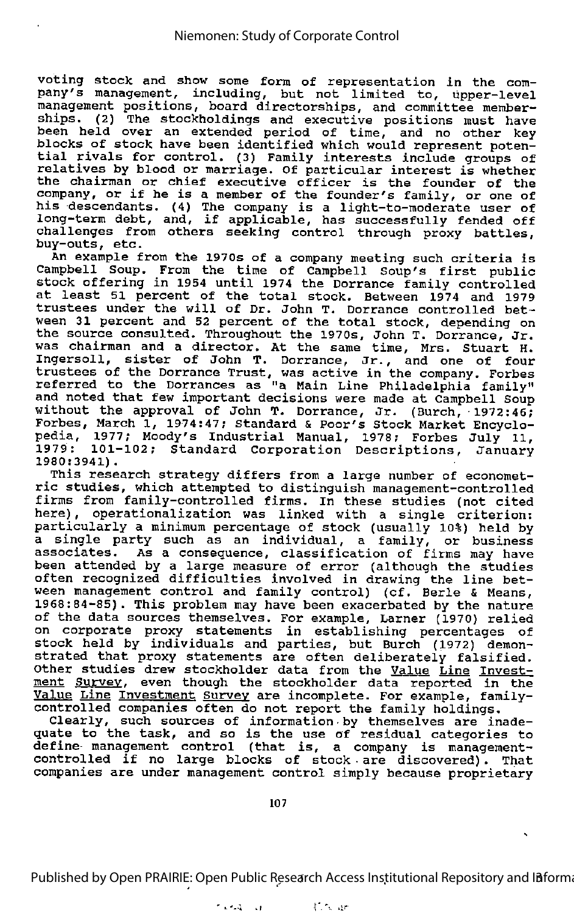voting stock and show some form of representation in the com-<br>pany's management, including, but not limited to, upper-level management positions, board directorships, and committee member ships. (2) The stockholdings and executive positions must have been held over an extended period of time, and no other key blocks of stock have been identified which would represent poten tial rivals for control. (3) Family interests include groups of erat fivals for concroi. (3) Family interests include groups of<br>relatives by blood or marriage. Of particular interest is whether the chairman or chief executive officer is the founder of the company, or if he is <sup>a</sup> member of the founder's family, or one of his descendants. (4) The company is <sup>a</sup> light-to-moderate user of long-term debt, and, if applicable, has successfully fended off challenges from others seeking control through proxy battles, challenges from others seeking control through proxy battles,<br>buy-outs, etc.

An example from the 1970s of <sup>a</sup> company meeting such criteria is Campbell Soup. From the time of Campbell Soup's first public stock offering in 1954 until 1974 the Dorrance family controlled at least 51 percent of the total stock. Between 1974 and 1979 trustees under the will of Dr. John T. Dorrance controlled bet ween <sup>31</sup> percent and <sup>52</sup> percent of the total stock, depending on the source consulted. Throughout the 1970s, John T. Dorrance, Jr. was chairman and a director. At the same time, Mrs. Stuart H. Ingersoll, sister of John T. Dorrance, Jr., and one of four trustees of the Dorrance Trust, was active in the company. Forbes referred to the Dorrances as "a Main Line Philadelphia family" and noted that few important decisions were made at Campbell Soup without the approval of John T. Dorrance, Jr. (Burch, 1972:46; Forbes, March 1, 1974:47; Standard & Poor's Stock Market Encyclo pedia, 1977; Moody's Industrial Manual, 1978; Forbes July 11, 1979: 101-102; Standard Corporation Descriptions, January 1980:3941).

This research strategy differs from <sup>a</sup> large number of economet ric studies, which attempted to distinguish management-controlled firms from family-controlled firms. In these studies (not cited here), operationalization was linked with a single criterion: particularly a minimum percentage of stock (usually 10%) held by a single party such as an individual, a family, or business a senger perty seem as an individual, a family, of business<br>associates. As a consequence, classification of firms may have according the a consequence, crassriped<br>the attended by a large measure of error (although the studies often recognized difficulties involved in drawing the line bet ween management control and family control) (cf. Berle & Means, 1968:84-85). This problem may have been exacerbated by the nature of the data sources themselves. For example, Larner (1970) relied on corporate proxy statements in establishing percentages of stock held by individuals and parties, but Burch (1972) demon strated that proxy statements are often deliberately falsified. Other studies drew stockholder data from the <u>Value Line</u> Invest when I was seen though the stockholder data reported in the Value Line Investment Survey are incomplete. For example, familycontrolled companies often do not report the family holdings.

Clearly, such sources of information by themselves are inade quate to the task, and so is the use of residual categories to define- management control (that is, <sup>a</sup> company is managementcontrolled if no large blocks of stock • are discovered) . That companies are under management control simply because proprietary

107

Published by Open PRAIRIE: Open Public Research Access Institutional Repository and Information

 $i$  .  $i$  .  $i$  in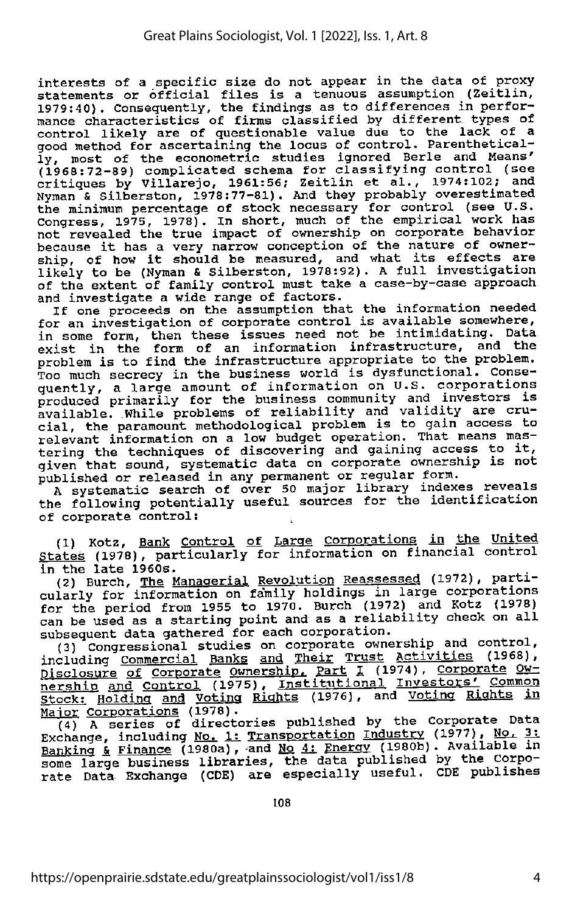interests of a specific size do not appear in the data of proxy statements or official files is a tenuous assumption (Zeitlin, 1979:40). Consequently, the findings as to differences in perfor-1979:40). Consequently, the findings as to differences in perfor mance characteristics of firms classified by different types of control likely are of questionable value due to the lack of a good method for ascertaining the locus of control. Parenthetically, most of the econometric studies ignored Berle and Means' (1960:72-89) complicated schema for classifying control (see critiques by Villarejo, 1961:56; Zeitlin et al., 1974:102; and Nyman & Silberston, 1978:77-81). And they probably overestimated the minimum percentage of stock necessary for control (see U.S. Congress, 1975, 1978). In short, much of the empirical work has not revealed the true impact of ownership on corporate behavior because it has <sup>a</sup> very narrow conception of the nature of owner ship, of how it should be measured, and what its effects are likely to be (Nyman & Silberston, 1978:92). A full investigation of the extent of family control must take a case-by-case approach and investigate <sup>a</sup> wide range of factors.

If one proceeds on the assumption that the information needed for an investigation of corporate control is available somewhere, in some form, then these issues need not be intimidating. Data exist in the form of an information infrastructure, and the problem is to find the infrastructure appropriate to the problem. Too much secrecy in the business world is dysfunctional. Consequently, a large amount of information on U.S. corporations produced primarily for the business community and investors is available. While problems of reliability and validity are crucial, the paramount methodological problem is to gain access to relevant information on a low budget operation. That means mas tering the techniques of discovering and gaining access to it, given that sound, systematic data on corporate ownership is not published or released in any permanent or regular form.

A systematic search of over 50 major library indexes reveals the following potentially useful sources for the identification of corporate control:

(1) Kotz, Bank Control of Large Corporations in the United States (1978), particularly for information on financial control

in the late 1960s.<br>(2) Burch, <u>The Managerial</u> Revolution Reassessed (1972), particularly for information on family holdings in large corporations for the period from 1955 to 1970. Burch (1972) and Kotz (1978) can be used as a starting point and as a reliability check on all

subsequent data gathered for each corporation.<br>(3) Congressional studies on corporate ownership and control,<br>including Commercial Banks and Their Trust Activities (1968), nisclosure of Corporate Ownership. Part I (1974), Corporate Ownership. nership and Control (1975), Institutional Investors' Common Stock: Holding and Voting Rights (1976), and Voting Rights in

Major Corporations (1978).<br>(4) A series of directories published by the Corporate Data Exchange, including No. 1: Transportation Industry (1977), No. 3: Banking & Finance (1980a), and No 4: Energy (1980b). Available in some large business libraries, the data published by the Corpo rate Data Exchange (CDE) are especially useful. CDE publishes

108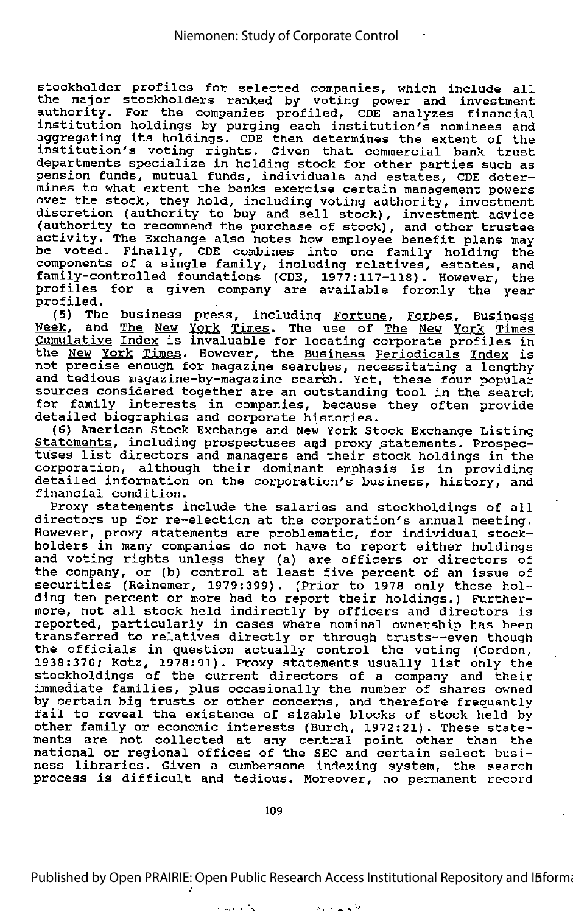stockholder profiles for selected companies, which include all the major stockholders ranked by voting power and investment authority. For the companies profiled, CDE analyzes financial institution holdings by purging each institution's nominees and aggregating its holdings. CDE then determines the extent of the institution's voting rights. Given that commercial bank trust departments specialize in holding stock for other parties such as pension funds, mutual funds, individuals and estates, CDE deter mines to what extent the banks exercise certain management powers over the stock, they hold, including voting authority, investment discretion (authority to buy and sell stock), investment advice (authority to recommend the purchase of stock), and other trustee activity. The Exchange also notes how employee benefit plans may be voted. Finally, CDE combines into one family holding the components of a single family, including relatives, estates, and family-controlled foundations (CDE, 1977:117-118). However, the profiles for a given company are available foronly the year profiled.

(5) The business press, including Fortune, Forbes, Business Week, and The New York Times. The use of The New York Times<br>Cumulative Index is invaluable for locating corporate profiles in **Example 20 Institute Construct Construct Communism**<br>the <u>New York Times</u>. However, the <u>Business Periodicals Index</u> is not precise enough for magazine searches, necessitating a lengthy and tedious magazine-by-magazine search. Yet, these four popular sources considered together are an outstanding tool in the search sources considered together are an outstanding tool in the search<br>for family interests in companies, because they often provide detailed biographies and corporate histories.

(6) American Stock Exchange and New York Stock Exchange Listing Statements, including prospectuses and proxy statements. Prospectuses list directors and managers and their stock holdings in the corporation, although their dominant emphasis is in providing detailed information on the corporation's business, history, and financial condition.

Proxy statements include the salaries and stockholdings of all directors up for re-election at the corporation's annual meeting. However, proxy statements are problematic, for individual stock holders in many companies do not have to report either holdings and voting rights unless they (a) are officers or directors of the company, or (b) control at least five percent of an issue of securities (Reinemer, 1979:399). (Prior to 1978 only those holding ten percent or more had to report their holdings.) Further more, not all stock held indirectly by officers and directors is reported, particularly in cases where nominal ownership has been transferred to relatives directly or through trusts—even though the officials in question actually control the voting (Gordon, 1938:370; Kotz, 1978:91). Proxy statements usually list only the stockholdings of the current directors of a company and their immediate families, plus occasionally the number of shares owned by certain big trusts or other concerns, and therefore frequently fail to reveal the existence of sizable blocks of stock held by other family or economic interests (Burch, 1972:21). These state ments are not collected at any central point other than the national or regional offices of the SEC and certain select busi ness libraries. Given <sup>a</sup> cumbersome indexing system, the search process is difficult and tedious. Moreover, no permanent record

109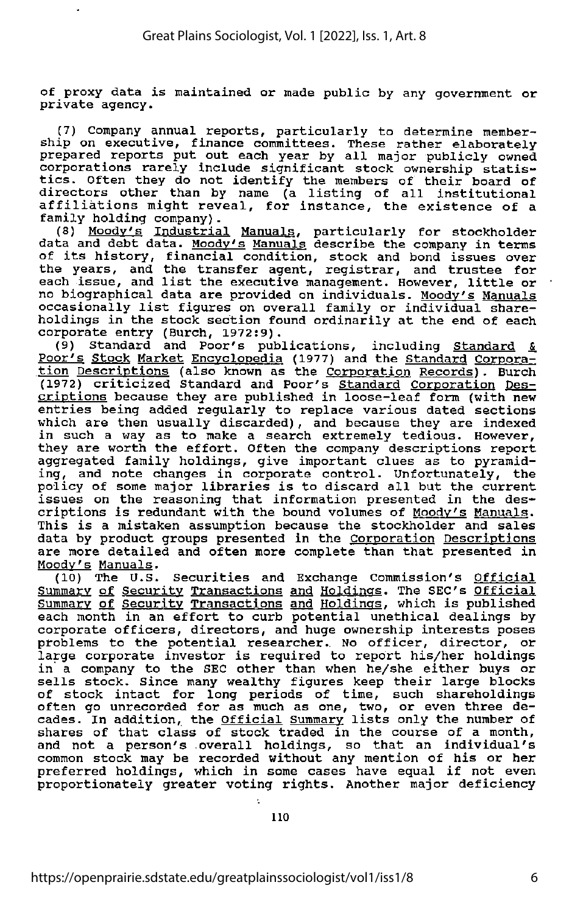of proxy data is maintained or made public by any government or private agency.

(7) Company annual reports, particularly to determine member ship on executive, finance committees. These rather elaborately prepared reports put out each year by all major publicly owned corporations rarely include significant stock ownership statis exportations turely include significant stock ownership statis-<br>tics. Often they do not identify the members of their board of directors other than by name (a listing of all institutional affiliations might reveal, for instance, the existence of <sup>a</sup> family holding company).<br>(8) <u>Moody's Industrial Manuals</u>, particularly for stockholder

data and debt data. Moody's Manuals describe the company in terms data and debt data. <u>Hoody's handais</u> describe the company in terms<br>of its history, financial condition, stock and bond issues over the years, and the transfer agent, registrar, and trustee for each issue, and list the executive management. However, little or no biographical data are provided on individuals. Moody's Manuals occasionally list figures on overall family or individual share holdings in the stock section found ordinarily at the end of each corporate entry (Burch, 1972:9).

(9) Standard and Poor's publications, including Standard & Poor's Stock Market Encyclopedia (1977) and the Standard Corpora **the Corporations of the Corporation Records).** Burch **Example Standard Corporation** Computer Corporation Des criptions because they are published in loose-leaf form (with new entries being added regularly to replace various dated sections which are then usually discarded), and because they are indexed in such <sup>a</sup> way as to make <sup>a</sup> search extremely tedious. However, they are worth the effort. Often the company descriptions report aggregated family holdings, give important clues as to pyramiding, and note changes in corporate control. Unfortunately, the policy of some major libraries is to discard all but the current issues on the reasoning that information presented in the des criptions is redundant with the bound volumes of Moodv's Manuals. This is <sup>a</sup> mistaken assumption because the stockholder and sales data by product groups presented in the Corporation Descriptions are more detailed and often more complete than that presented in Moodv's Manuals.

(10) The U.S. Securities and Exchange Commission's Official Summary of Security Transactions and Holdings. The SEC's Official Summary of Security Transactions and Holdings, which is published each month in an effort to curb potential unethical dealings by corporate officers, directors, and huge ownership interests poses problems to the potential researcher. No officer, director, or large corporate investor is required to report his/her holdings in <sup>a</sup> company to the SEC other than when he/she either buys or In a company of the bac other than when he, one creater bays or of stock intact for long periods of time, such shareholdings often go unrecorded for as much as one, two, or even three de-<br>cades. In addition, the <u>Official Summary</u> lists only the number of shares of that class of stock traded in the course of <sup>a</sup> month, and not <sup>a</sup> person's overall holdings, so that an individual's common stock may be recorded without any mention of his or her preferred holdings, which in some cases have equal if not even proportionately greater voting rights. Another major deficiency

110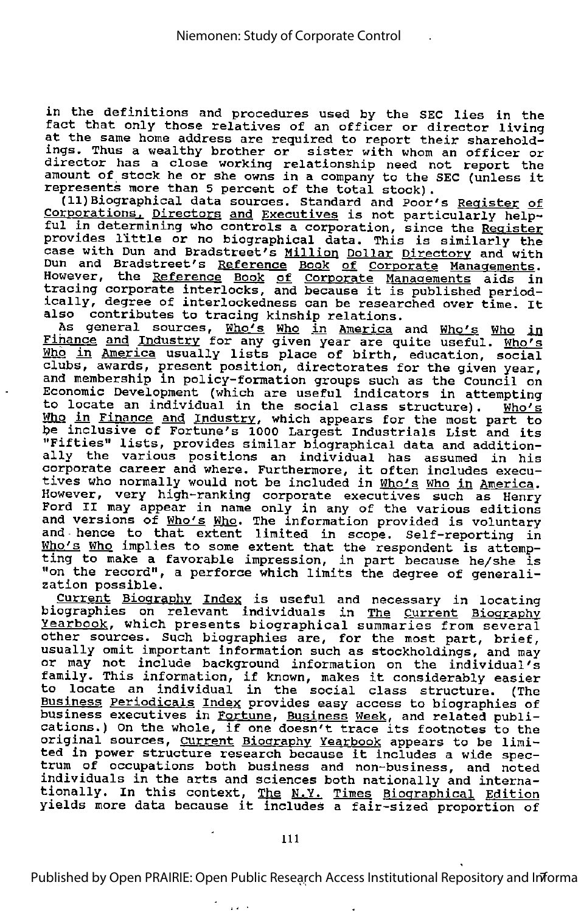in the definitions and procedures used by the SEC lies in the In the assemble only procedures used by the SEC lies in the<br>fact that only those relatives of an officer or director living at the same home address are required to report their sharehold ings, Thus <sup>a</sup> wealthy brother or sister with whom an officer or director has a close working relationship need not report the amount of stock he or she owns in <sup>a</sup> company to the SEC (unless it represents more than 5 percent of the total stock).

(11) Biographical data sources. Standard and Poor's Register of Corporations. Directors and Executives is not particularly help-<br>ful in determining who controls a corporation, since the Register provides little or no biographical data. This is similarly the case with Dun and Bradstreet's Million Dollar Directory and with The art of Bradstreet's **Alling Boilal Bilectory** and With However, the Reference Book of Corporate Managements aids in<br>tracing corporate interlocks, and because it is published periodically, degree of interlockedness can be researched over time. It also contributes to tracing kinship relations.

As general sources, Who's Who in America and Who's Who in Finance and Industry for any given year are quite useful. Who's Hho in America usually lists place of birth, education, social clubs, awards, present position, directorates for the given year, and membership in policy-formation groups such as the Council on Economic Development (which are useful indicators in attempting to locate an individual in the social class structure). Who's To resease an individual in the social class structure,. Mho's **be inclusive of Fortune's 1000 Largest Industrials List and its**<br>be inclusive of Fortune's 1000 Largest Industrials List and its "Fifties" lists, provides similar biographical data and addition ally the various positions an individual has assumed in his ally the various positions an individual has assumed in hi<br>corporate career and where. Furthermore, it often includes execu tives who normally would not be included in Who's Who in America. However, very high-ranking corporate executives such as Henry Ford II may appear in name only in any of the various editions esta in may appear in hame only in any of the various editions<br>and versions of <u>Who's Who</u>. The information provided is voluntary and beforeing or <u>missed mis</u>. The information provided is voluntary<br>and hence to that extent limited in scope. Self-reporting in who's Who implies to some extent that the respondent is attemp-<br>Who's Who implies to some extent that the respondent is attemp-<br>ting to make a favorable impression, in part because he/she is "on the record", a perforce which limits the degree of generali

zation possible.<br>Current Biography Index is useful and necessary in locating biographies on relevant individuals in The Current Biography Yearbook, which presents biographical summaries from several **EXAMPLES**, which presence biographical summaries from several usually omit important information such as stockholdings, and may or may not include background information on the individual's of may not include background information on the individual's<br>family. This information, if known, makes it considerably easier to locate an individual in the social class structure. (The Business Periodicals Index provides easy access to biographies of business executives in Fortune, Business Week, and related publications.) On the whole, if one doesn't trace its footnotes to the original sources, Current Biography Yearbook appears to be limioriginal sources, C<u>urrent Biography Yearbook</u> appears to be limi<br>ted in power structure research because it includes a wide spec trum of occupations both business and non-business, and noted individuals in the arts and sciences both nationally and interna Individuals in the dies and sciences boen nationally and interna-<br>tionally. In this context, <u>The N.Y. Times Biographical</u> Edition<br>yields more data because it includes a fair-sized proportion of

 $\mathbf{z}$  and  $\mathbf{z}$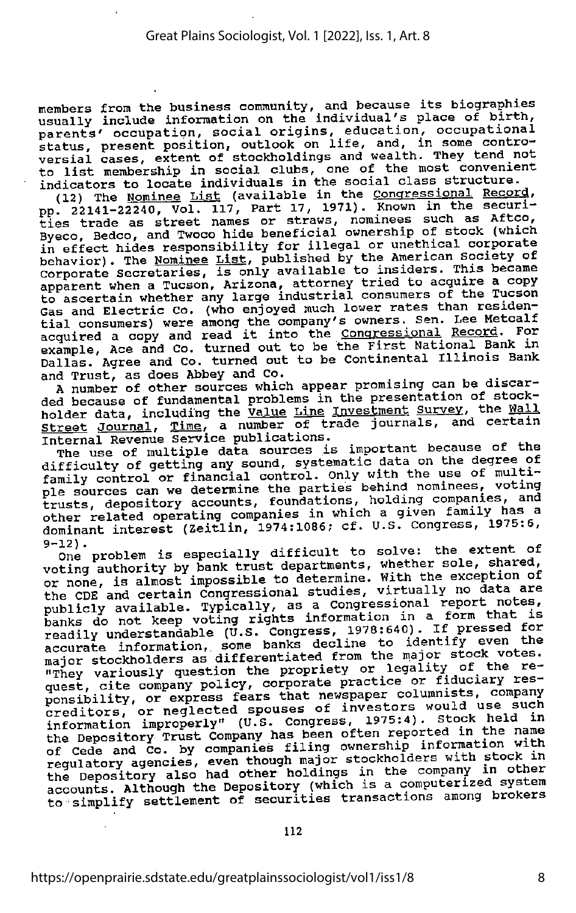members from the business community, and because its biographies<br>usually include information on the individual's place of birth,<br>parents' occupation, social origins, education, occupational<br>status, present position, outloo versial cases, extent of stockholdings and wealth. They tend not to list membership in social clubs, one of the most convenient indicators to locate individuals in the social class structure.

(12) The Nominee List (available in the Congressional Record,<br>pp. 22141-22240, Vol. 117, Part 17, 1971). Known in the securities trade as street names or straws, nominees such as Aftco,<br>Byeco, Bedco, and Twoco hide beneficial ownership of stock (which<br>in effect hides responsibility for illegal or unethical corporate<br>behavior). The <u>Nominee List</u> Corporate Secretaries, is only available to insiders. This became apparent when a Tucson, Arizona, attorney tried to acquire a copy to ascertain whether any large industrial consumers of the Tucson Gas and Electric Co. (who enjoyed much lower rates than residen-<br>tial consumers) were among the company's owners. Sen. Lee Metcalf<br>acquired a copy and read it into the <u>Congressional Record</u>. For example, Ace and Co. turned out to be the First National Bank in Dallas. Agree and Co. turned out to be Continental Illinois Bank<br>and Trust, as does Abbey and Co. barras. Agree and even research co.<br>and Trust, as does Abbey and Co.

A number of other sources which appear promising can be discar ded because of fundamental problems in the presentation of stock holder data, including the Value Line Investment Survey, the Wall street Journal, Time, a number of trade journals, and certain Internal Revenue Service publications.

The use of multiple data sources is important because of the difficulty of getting any sound, systematic data on the degree of family control or financial control. Only with the use of multi-ple sources can we determine the parties behind nominees, voting trusts, depository accounts, foundations, holding companies, and other related operating companies in which a given family has a dominant interest (Zeitlin, 1974:1086; cf. U.S. Congress, 1975:6,  $9-12$ ).

One problem is especially difficult to solve: the extent of voting authority by bank trust departments, whether sole, shared, or none, is almost impossible to determine. With the exception of voting authority by bank trust departments, whether sole, shared, the CDE and certain Congressional studies, virtually no data are<br>publicly available. Typically, as a Congressional report notes, banks do not keep voting rights information in a form that is<br>readily understandable (U.S. Congress, 1978:640). If pressed for<br>accurate information, some banks decline to identify even the readily understandable (U.S. Congress, 1978:640). If pressed for major stockholders as differentiated from the major stock votes. "Thev variously question the propriety or legality of the re quest, cite company policy, corporate practice or fiduciary res-<br>ponsibility, or express fears that newspaper columnists, company ponsibility, or express fears that newspaper columnists, company<br>creditors, or neglected spouses of investors would use such<br>creditors, or neglected spouses of investors would use such information improperly" (U.S. Congress, 1975:4). the Depository Trust Company has been often reported in the name of Cede and Co. by companies filing ownership information with<br>regulatory agencies, even though major stockholders with stock in the Depository also had other holdings in the company in other accounts. Although the Depository (which is a computerized system to simplify settlement of securities transactions among brokers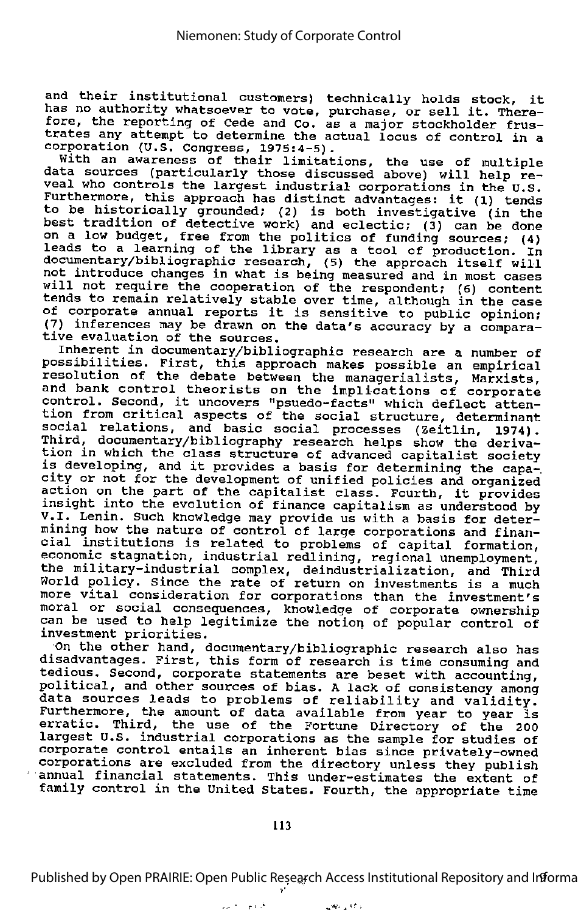and their institutional customers) technically holds stock, it has no authority whatsoever to vote, purchase, or sell it. There-The continuously and society to vote, purchase, of self it. There esse, the reporting of teae and to. as a major stockholder frus-<br>trates any attempt to determine the actual locus of control in a

corporation (U.S. Congress, 1975:4-5). With an awareness of their limitations, the use of multiple data sources (particularly those discussed above) will help re veal who controls the largest industrial corporations in the U.S. Furthermore, this approach has distinct advantages: it (1) tends to be historically grounded; (2) is both investigative (in the best tradition of detective work) and eclectic; (3) can be done on a low budget, free from the politics of funding sources; (4) leads to <sup>a</sup> learning of the library as <sup>a</sup> tool of production. In documentary/bibliographic research, (5) the approach itself will not introduce changes in what is being measured and in most cases will not require the cooperation of the respondent; (6) content tends to remain relatively stable over time, although in the case of corporate annual reports it is sensitive to public opinion; (7) inferences may be drawn on the data's accuracy by a compara tive evaluation of the sources.

Inherent in documentary/bibliographic research are a number of possibilities. First, this approach makes possible an empirical resolution of the debate between the managerialists, Marxists, and bank control theorists on the implications of corporate control. Second, it uncovers "psuedo-facts" which deflect atten tion from critical aspects of the social structure, determinant social relations, and basic social processes (Zeitlin, 1974). Third, documentary/bibliography research helps show the deriva-<br>tion in which the class structure of advanced capitalist society is developing, and it provides a basis for determining the capa-<br>city or not for the development of unified policies and organized<br>action on the part of the capitalist class. Fourth, it provides<br>insight into the evolution mining how the nature of control of large corporations and finan cial institutions is related to problems of capital formation, economic stagnation, industrial redlining, regional unemployment, the military-industrial complex, deindustrialization, and Third In a milled policy. Since the rate of return on investments is a much morid poilcy. Since the rate of return on investments is a much<br>more vital consideration for corporations than the investment's moral or social consequences, knowledge of corporate ownership can be used to help legitimize the notion of popular control of investment priorities.

On the other hand, documentary/bibliographic research also has disadvantages. First, this form of research is time consuming and tedious. Second, corporate statements are beset with accounting, political, and other sources of bias. <sup>A</sup> lack of consistency among data sources leads to problems of reliability and validity. also Bodroes redus to problems of feffability and valiatty.<br>Furthermore, the amount of data available from year to year is erratic. Third, the use of the Fortune Directory of the 200 largest U.S. industrial corporations as the sample for studies of corporate control entails an inherent bias since privately-owned corporations are excluded from the directory unless they publish annual financial statements. This under-estimates the extent of family control in the United States. Fourth, the appropriate time

الأردج التلاصم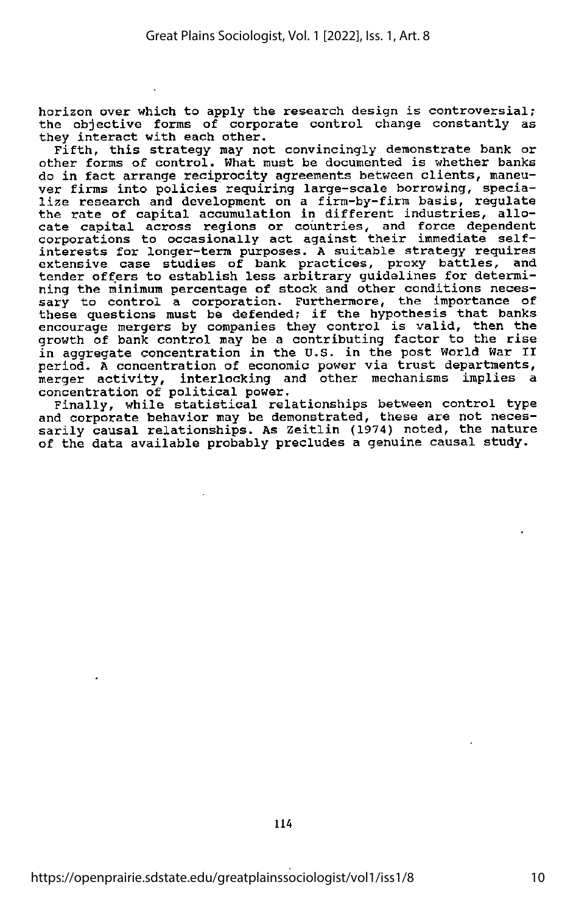horizon over which to apply the research design is controversial; the objective forms of corporate control change constantly as they interact with each other.

Fifth, this strategy may not convincingly demonstrate bank or other forms of control. What must be documented is whether banks do in fact arrange reciprocity agreements between clients, maneu ver firms into policies requiring large-scale borrowing, specia lize research and development on <sup>a</sup> firm-by-firm basis, regulate the rate of capital accumulation in different industries, allo cate capital across regions or countries, and force dependent corporations to occasionally act against their immediate selfinterests for longer-term purposes. <sup>A</sup> suitable strategy requires extensive case studies of bank practices, proxy battles, and tender offers to establish less arbitrary guidelines for determi ning the minimum percentage of stock and other conditions neces sary to control a corporation. Furthermore, the importance of these questions must be defended; if the hypothesis that banks encourage mergers by companies they control is valid, then the growth of bank control may be a contributing factor to the rise in aggregate concentration in the U.S. in the post World War II period. <sup>A</sup> concentration of economic power via trust departments, merger activity, interlocking and other mechanisms implies a concentration of political power.

Finally, while statistical relationships between control type and corporate behavior may be demonstrated, these are not neces sarily causal relationships. As Zeitlin (1974) noted, the nature of the data available probably precludes a genuine causal study.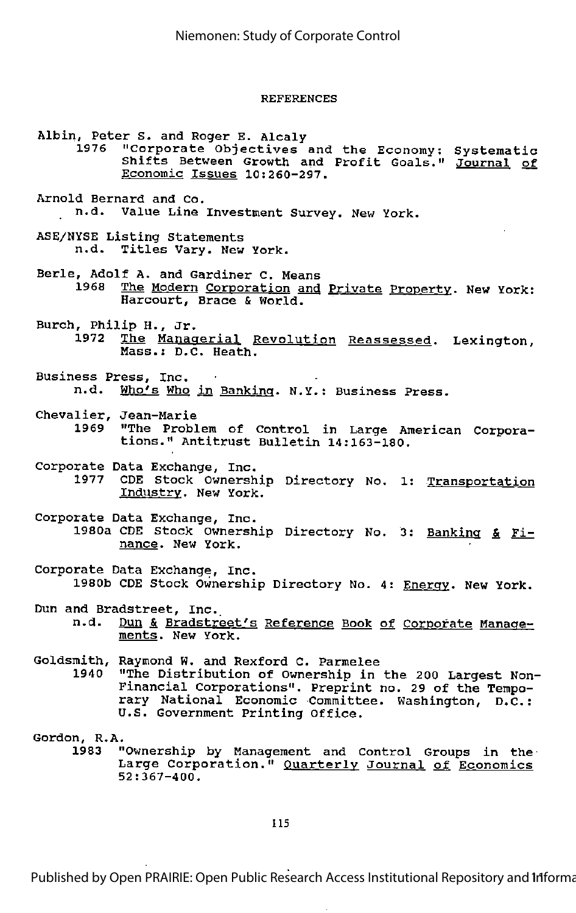#### REFERENCES

Albin, Peter S. and Roger E. Alcaly "Corporate Objectives and the Economy: Systematic Shifts Between Growth and Profit Goals." Journal of Economic Issues 10:260-297. Arnold Bernard and Co. n.d. Value Line Investment Survey. New York. ASE/NYSE Listing Statements n.d. Titles Vary. New York. Berle, Adolf A. and Gardiner C. Means The Modern Corporation and Private Property. New York: Harcourt, Brace & World. Burch, Philip H., Jr.<br>1972 The Manag The Managerial Revolution Reassessed. Lexington,<br>Mass.: D.C. Heath. Business Press, Inc.<br>n.d. Who's Who Who's Who in Banking. N.Y.: Business Press. Chevalier, Jean-Marie "The Problem of Control in Large American Corporations." Antitrust Bulletin 14:163-180. Corporate Data Exchange, Inc. 1977 CDE Stock Ownership Directory No. 1: Transportation Industry. New York. Corporate Data Exchange, Inc. 1980a CDE Stock Ownership Directory No. 3: Banking & Finance. New York. Corporate Data Exchange, Inc. 1980b CDE Stock Ownership Directory No. 4: Energy. New York. Dun and Bradstreet, Inc.<br>n.d. Dun & Bradstre Dun & Bradstreet's Reference Book of Corporate Managements. New York. Goldsmith, Raymond W. and Rexford C. Parmelee "The Distribution of Ownership in the 200 Largest Non-Financial Corporations". Preprint no. 29 of the Tempo rary National Economic Committee. Washington, D.C.: U.S. Government Printing Office. Gordon, R.A.<br>" 1983 "Ownership by Management and Control Groups in the Large Corporation." Quarterly Journal of Economics 52:367-400.

115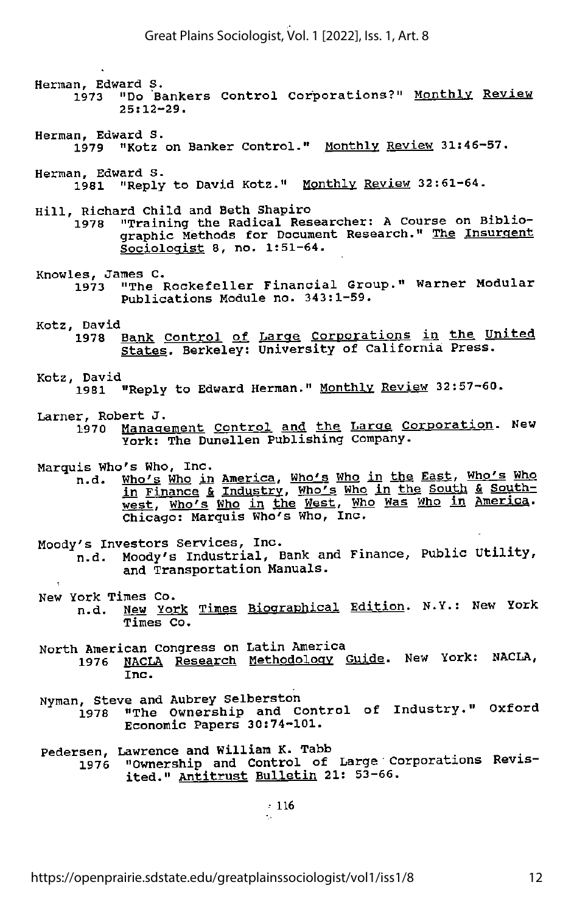Herman, Edward S. <sup>1973</sup> "Do Bankers Control corporations?" Monthly Review 25:12-29. Herman, Edward S. 1979 "Kotz on Banker Control." Monthly Review 31:46-57. Herman, Edward S. 1981 "Reply to David Kotz." Monthly Review 32:61-64. Hill, Richard Child and Beth Shapiro <sup>1978</sup> "Training the Radical Researcher: <sup>A</sup> Course on Biblio graphic Methods for Document Research." The Insurgent Sociologist 8, no. 1:51-64. Knowles, James C.<br>1973 "The B "The Rockefeller Financial Group." Warner Modular Publications Module no. 343:1-59. Kotz, David<br>1978 <u>Bank Control of Large Corporations in the United</u> states. Berkeley: University of California Press. Kotz, David<br>1981 "Reply to Edward Herman." Monthly Review 32:57-60. Larner, Robert J.<br>1970 Management Control and the Large Corporation. New York: The Dunellen Publishing company. Marquis Who's Who, Inc.<br>n.d. Who's Who in Who's Who in America, Who's Who in the East, Who's Who in Finance & Industry, Who's Who in the South & Southwest, Who's Who in the West, Who Was Who in America. Chicago: Marquis Who's Who, Inc. Moody's Investors Services, Inc. (2008) and the model of the service of the service  $\mathbb{R}^n$ n.d. Moody's Industrial, Bank and Finance, Public Utility, and Transportation Manuals. New York Times Co.<br>n.d. <u>New York Times Biographical</u> Edi<u>tion</u>. N.Y.: New York Times Co. North American Congress on Latin America 1976 NACLA Research Methodology Guide. New York: NACLA, Nyman, Steve and Aubrey Selberston ^ <sup>1978</sup> "The Ownership and Control of Industry. Oxford Economic Papers 30:74-101. Pedersen, Lawrence and William K. Tabb<br>1976 "Ownership and Control of Large Corporations Revisited." Antitrust Bulletin 21: 53-66.

• 116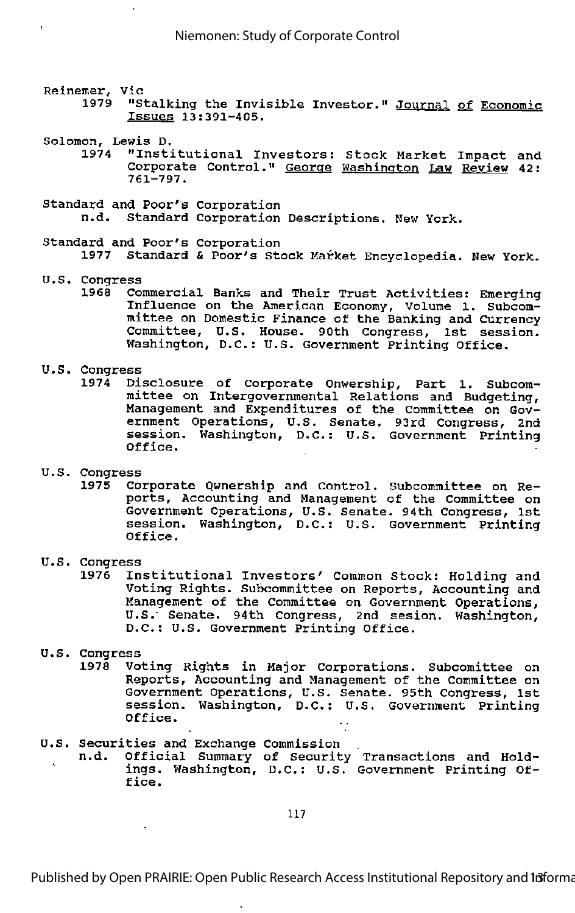### Reinemer, Vic<br>1979 "S

- "Stalking the Invisible Investor." Journal of Economic Issues 13:391-405.
- Solomon, Lewis D.<br>1974 "Insti

 $\ddot{\phantom{0}}$ 

- "Institutional Investors: Stock Market Impact and Corporate Control." George Washington Law Review 42: 761-797.
- Standard and Poor's Corporation Standard Corporation Descriptions. New York.
- Standard and Poor's corporation 1977 Standard & Poor's Stock Market Encyclopedia. New York.
- U.S. Congress
	- 1968 Commercial Banks and Their Trust Activities: Emerging Influence on the American Economy, Volume 1. subcom mittee on Domestic Finance of the Banking and Currency Committee, U.S. House. 90th Congress, 1st session. Washington, D.C.: U.S. Government Printing Office.

## U.S. Congress

- 1974 Disclosure of Corporate Onwership, Part 1. Subcom mittee on Intergovernmental Relations and Budgeting, Management and Expenditures of the Committee on Gov ernment Operations, U.S. Senate. 93rd Congress, 2nd session. Washington, D.C.: U.S. Government Printing Office.
- U.S. Congress
	- 1975 Corporate Ownership and Control. Subcommittee on Re ports, Accounting and Management of the Committee on Government Operations, U.S. Senate. 94th Congress, 1st session. Washington, D.C.: U.S. Government Printing Office.
- U.S. Congress
	- Institutional Investors' Common Stock: Holding and Voting Rights. Subcommittee on Reports, Accounting and Management of the Committee on Government Operations, U.S." Senate. 94th Congress, 2nd sesion. Washington, D.C.: U.S. Government Printing Office.
- U.S. Congress
	- Voting Rights in Major Corporations. Subcomittee on Reports, Accounting and Management of the Committee on Government Operations, U.S. Senate. 95th Congress, 1st session. Washington, D.C.: U.S. Government Printing Office.
- U.S. Securities and Exchange Commission
	- Official Summary of Security Transactions and Holdings. Washington, D.C.: U.S. Government Printing Of fice.